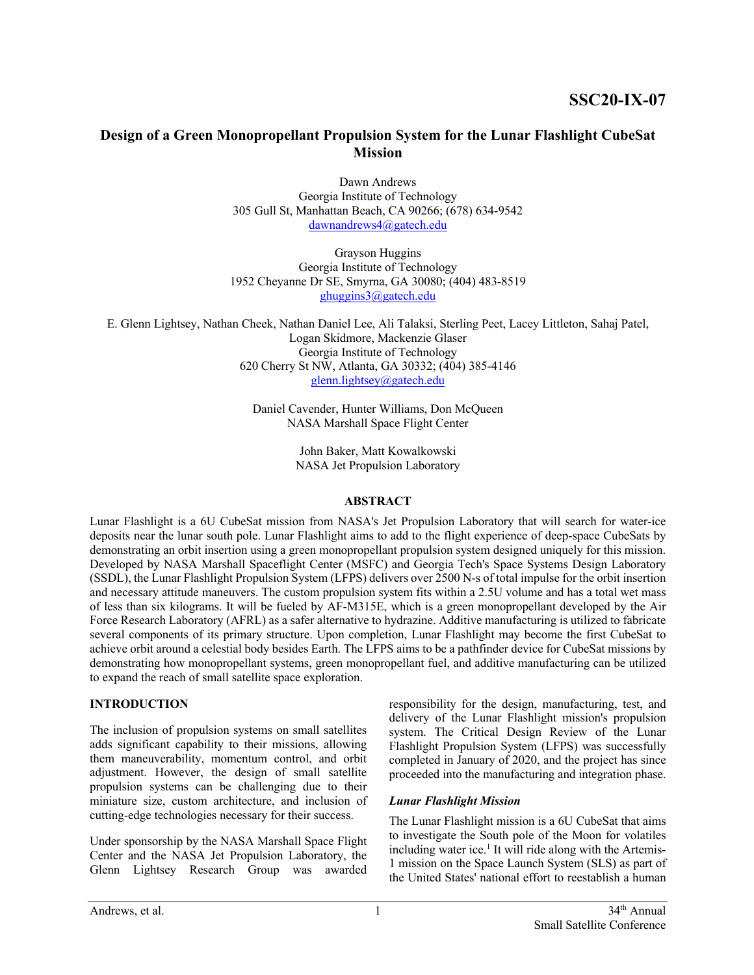# **Design of a Green Monopropellant Propulsion System for the Lunar Flashlight CubeSat Mission**

Dawn Andrews Georgia Institute of Technology 305 Gull St, Manhattan Beach, CA 90266; (678) 634-9542 dawnandrews4@gatech.edu

Grayson Huggins Georgia Institute of Technology 1952 Cheyanne Dr SE, Smyrna, GA 30080; (404) 483-8519 ghuggins3@gatech.edu

E. Glenn Lightsey, Nathan Cheek, Nathan Daniel Lee, Ali Talaksi, Sterling Peet, Lacey Littleton, Sahaj Patel, Logan Skidmore, Mackenzie Glaser Georgia Institute of Technology 620 Cherry St NW, Atlanta, GA 30332; (404) 385-4146 glenn.lightsey@gatech.edu

> Daniel Cavender, Hunter Williams, Don McQueen NASA Marshall Space Flight Center

> > John Baker, Matt Kowalkowski NASA Jet Propulsion Laboratory

# **ABSTRACT**

Lunar Flashlight is a 6U CubeSat mission from NASA's Jet Propulsion Laboratory that will search for water-ice deposits near the lunar south pole. Lunar Flashlight aims to add to the flight experience of deep-space CubeSats by demonstrating an orbit insertion using a green monopropellant propulsion system designed uniquely for this mission. Developed by NASA Marshall Spaceflight Center (MSFC) and Georgia Tech's Space Systems Design Laboratory (SSDL), the Lunar Flashlight Propulsion System (LFPS) delivers over 2500 N-s of total impulse for the orbit insertion and necessary attitude maneuvers. The custom propulsion system fits within a 2.5U volume and has a total wet mass of less than six kilograms. It will be fueled by AF-M315E, which is a green monopropellant developed by the Air Force Research Laboratory (AFRL) as a safer alternative to hydrazine. Additive manufacturing is utilized to fabricate several components of its primary structure. Upon completion, Lunar Flashlight may become the first CubeSat to achieve orbit around a celestial body besides Earth. The LFPS aims to be a pathfinder device for CubeSat missions by demonstrating how monopropellant systems, green monopropellant fuel, and additive manufacturing can be utilized to expand the reach of small satellite space exploration.

# **INTRODUCTION**

The inclusion of propulsion systems on small satellites adds significant capability to their missions, allowing them maneuverability, momentum control, and orbit adjustment. However, the design of small satellite propulsion systems can be challenging due to their miniature size, custom architecture, and inclusion of cutting-edge technologies necessary for their success.

Under sponsorship by the NASA Marshall Space Flight Center and the NASA Jet Propulsion Laboratory, the Glenn Lightsey Research Group was awarded responsibility for the design, manufacturing, test, and delivery of the Lunar Flashlight mission's propulsion system. The Critical Design Review of the Lunar Flashlight Propulsion System (LFPS) was successfully completed in January of 2020, and the project has since proceeded into the manufacturing and integration phase.

# *Lunar Flashlight Mission*

The Lunar Flashlight mission is a 6U CubeSat that aims to investigate the South pole of the Moon for volatiles including water ice.<sup>1</sup> It will ride along with the Artemis-1 mission on the Space Launch System (SLS) as part of the United States' national effort to reestablish a human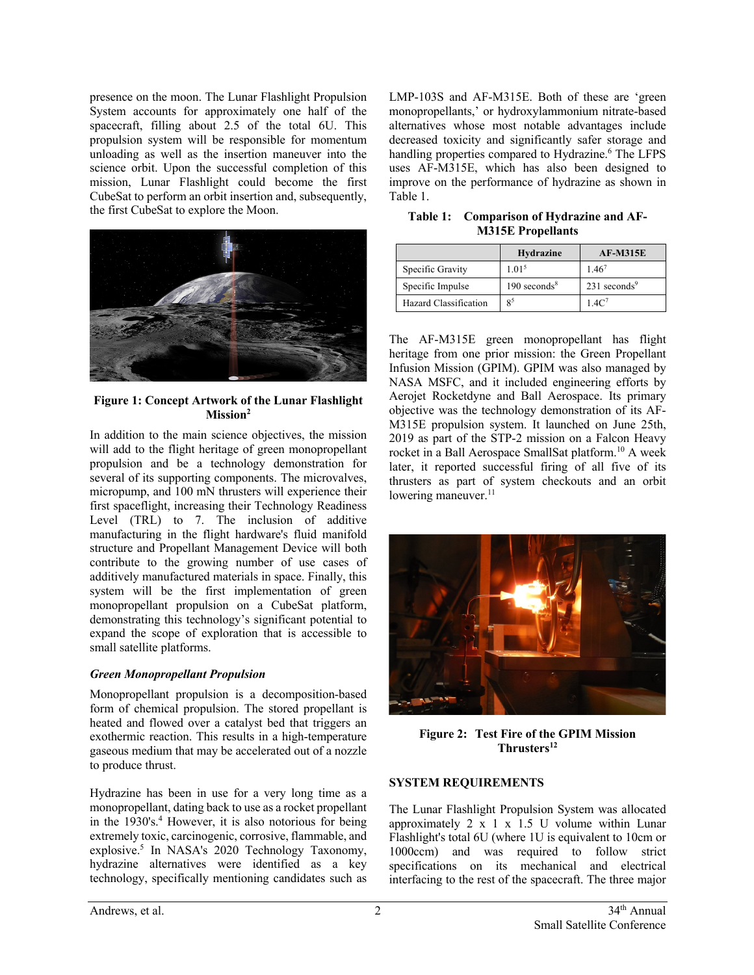presence on the moon. The Lunar Flashlight Propulsion System accounts for approximately one half of the spacecraft, filling about 2.5 of the total 6U. This propulsion system will be responsible for momentum unloading as well as the insertion maneuver into the science orbit. Upon the successful completion of this mission, Lunar Flashlight could become the first CubeSat to perform an orbit insertion and, subsequently, the first CubeSat to explore the Moon.



**Figure 1: Concept Artwork of the Lunar Flashlight Mission2**

In addition to the main science objectives, the mission will add to the flight heritage of green monopropellant propulsion and be a technology demonstration for several of its supporting components. The microvalves, micropump, and 100 mN thrusters will experience their first spaceflight, increasing their Technology Readiness Level (TRL) to 7. The inclusion of additive manufacturing in the flight hardware's fluid manifold structure and Propellant Management Device will both contribute to the growing number of use cases of additively manufactured materials in space. Finally, this system will be the first implementation of green monopropellant propulsion on a CubeSat platform, demonstrating this technology's significant potential to expand the scope of exploration that is accessible to small satellite platforms.

#### *Green Monopropellant Propulsion*

Monopropellant propulsion is a decomposition-based form of chemical propulsion. The stored propellant is heated and flowed over a catalyst bed that triggers an exothermic reaction. This results in a high-temperature gaseous medium that may be accelerated out of a nozzle to produce thrust.

Hydrazine has been in use for a very long time as a monopropellant, dating back to use as a rocket propellant in the 1930's. <sup>4</sup> However, it is also notorious for being extremely toxic, carcinogenic, corrosive, flammable, and explosive.5 In NASA's 2020 Technology Taxonomy, hydrazine alternatives were identified as a key technology, specifically mentioning candidates such as

LMP-103S and AF-M315E. Both of these are 'green monopropellants,' or hydroxylammonium nitrate-based alternatives whose most notable advantages include decreased toxicity and significantly safer storage and handling properties compared to Hydrazine. <sup>6</sup> The LFPS uses AF-M315E, which has also been designed to improve on the performance of hydrazine as shown in Table 1.

**Table 1: Comparison of Hydrazine and AF-M315E Propellants**

|                       | Hydrazine                  | <b>AF-M315E</b>            |
|-----------------------|----------------------------|----------------------------|
| Specific Gravity      | 1.01 <sup>5</sup>          | $1.46^{7}$                 |
| Specific Impulse      | $190$ seconds <sup>8</sup> | $231$ seconds <sup>9</sup> |
| Hazard Classification | 85                         | 1.4C <sup>7</sup>          |

The AF-M315E green monopropellant has flight heritage from one prior mission: the Green Propellant Infusion Mission (GPIM). GPIM was also managed by NASA MSFC, and it included engineering efforts by Aerojet Rocketdyne and Ball Aerospace. Its primary objective was the technology demonstration of its AF-M315E propulsion system. It launched on June 25th, 2019 as part of the STP-2 mission on a Falcon Heavy rocket in a Ball Aerospace SmallSat platform.10 A week later, it reported successful firing of all five of its thrusters as part of system checkouts and an orbit lowering maneuver.<sup>11</sup>



**Figure 2: Test Fire of the GPIM Mission Thrusters12**

# **SYSTEM REQUIREMENTS**

The Lunar Flashlight Propulsion System was allocated approximately 2 x 1 x 1.5 U volume within Lunar Flashlight's total 6U (where 1U is equivalent to 10cm or 1000ccm) and was required to follow strict specifications on its mechanical and electrical interfacing to the rest of the spacecraft. The three major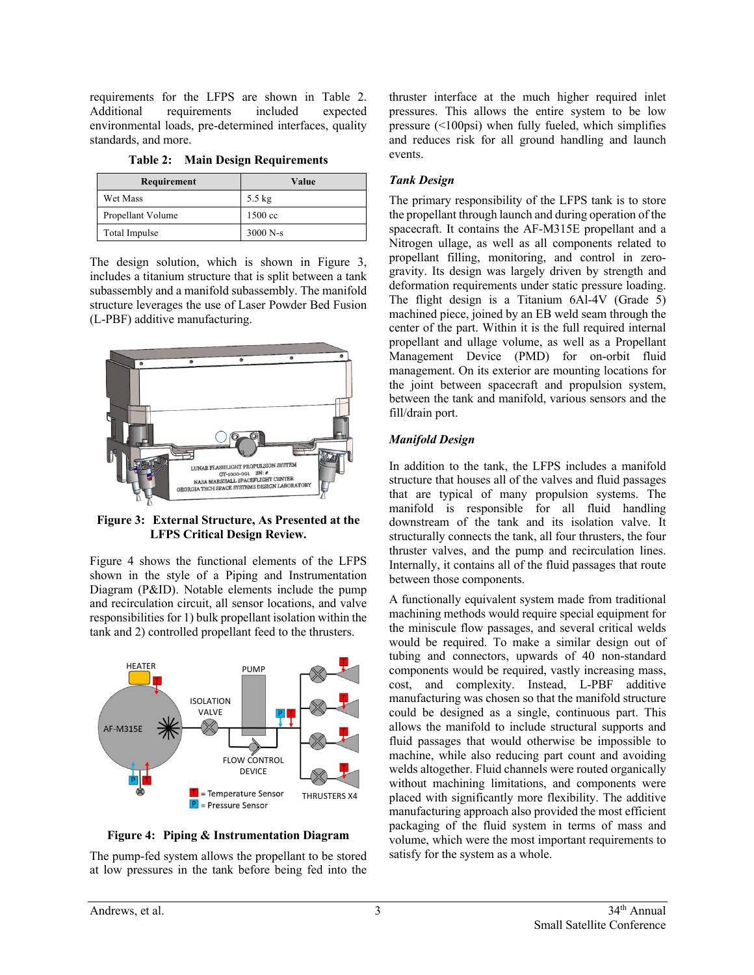requirements for the LFPS are shown in Table 2. Additional requirements included expected environmental loads, pre-determined interfaces, quality standards, and more.

| Requirement       | Value             |
|-------------------|-------------------|
| Wet Mass          | $5.5 \text{ kg}$  |
| Propellant Volume | $1500 \text{ cc}$ |
| Total Impulse     | $3000 N-s$        |

**Table 2: Main Design Requirements**

The design solution, which is shown in Figure 3, includes a titanium structure that is split between a tank subassembly and a manifold subassembly. The manifold structure leverages the use of Laser Powder Bed Fusion (L-PBF) additive manufacturing.



**Figure 3: External Structure, As Presented at the LFPS Critical Design Review.** 

Figure 4 shows the functional elements of the LFPS shown in the style of a Piping and Instrumentation Diagram (P&ID). Notable elements include the pump and recirculation circuit, all sensor locations, and valve responsibilities for 1) bulk propellant isolation within the tank and 2) controlled propellant feed to the thrusters.



**Figure 4: Piping & Instrumentation Diagram**

The pump-fed system allows the propellant to be stored at low pressures in the tank before being fed into the thruster interface at the much higher required inlet pressures. This allows the entire system to be low pressure (<100psi) when fully fueled, which simplifies and reduces risk for all ground handling and launch events.

# *Tank Design*

The primary responsibility of the LFPS tank is to store the propellant through launch and during operation of the spacecraft. It contains the AF-M315E propellant and a Nitrogen ullage, as well as all components related to propellant filling, monitoring, and control in zerogravity. Its design was largely driven by strength and deformation requirements under static pressure loading. The flight design is a Titanium 6Al-4V (Grade 5) machined piece, joined by an EB weld seam through the center of the part. Within it is the full required internal propellant and ullage volume, as well as a Propellant Management Device (PMD) for on-orbit fluid management. On its exterior are mounting locations for the joint between spacecraft and propulsion system, between the tank and manifold, various sensors and the fill/drain port.

# *Manifold Design*

In addition to the tank, the LFPS includes a manifold structure that houses all of the valves and fluid passages that are typical of many propulsion systems. The manifold is responsible for all fluid handling downstream of the tank and its isolation valve. It structurally connects the tank, all four thrusters, the four thruster valves, and the pump and recirculation lines. Internally, it contains all of the fluid passages that route between those components.

A functionally equivalent system made from traditional machining methods would require special equipment for the miniscule flow passages, and several critical welds would be required. To make a similar design out of tubing and connectors, upwards of 40 non-standard components would be required, vastly increasing mass, cost, and complexity. Instead, L-PBF additive manufacturing was chosen so that the manifold structure could be designed as a single, continuous part. This allows the manifold to include structural supports and fluid passages that would otherwise be impossible to machine, while also reducing part count and avoiding welds altogether. Fluid channels were routed organically without machining limitations, and components were placed with significantly more flexibility. The additive manufacturing approach also provided the most efficient packaging of the fluid system in terms of mass and volume, which were the most important requirements to satisfy for the system as a whole.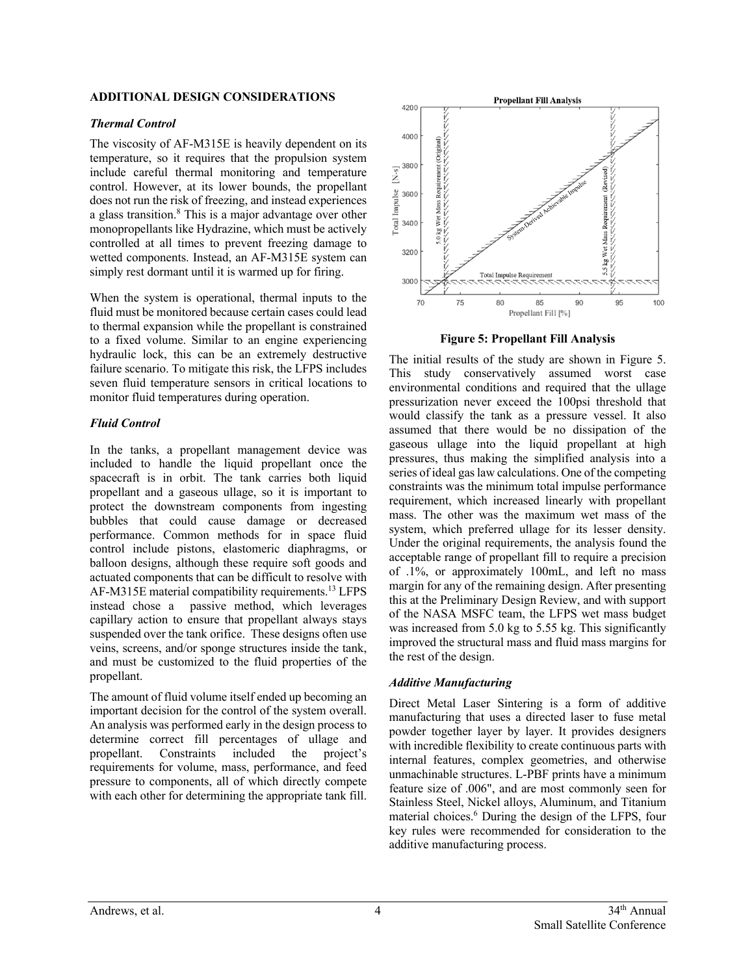### **ADDITIONAL DESIGN CONSIDERATIONS**

## *Thermal Control*

The viscosity of AF-M315E is heavily dependent on its temperature, so it requires that the propulsion system include careful thermal monitoring and temperature control. However, at its lower bounds, the propellant does not run the risk of freezing, and instead experiences a glass transition.8 This is a major advantage over other monopropellants like Hydrazine, which must be actively controlled at all times to prevent freezing damage to wetted components. Instead, an AF-M315E system can simply rest dormant until it is warmed up for firing.

When the system is operational, thermal inputs to the fluid must be monitored because certain cases could lead to thermal expansion while the propellant is constrained to a fixed volume. Similar to an engine experiencing hydraulic lock, this can be an extremely destructive failure scenario. To mitigate this risk, the LFPS includes seven fluid temperature sensors in critical locations to monitor fluid temperatures during operation.

# *Fluid Control*

In the tanks, a propellant management device was included to handle the liquid propellant once the spacecraft is in orbit. The tank carries both liquid propellant and a gaseous ullage, so it is important to protect the downstream components from ingesting bubbles that could cause damage or decreased performance. Common methods for in space fluid control include pistons, elastomeric diaphragms, or balloon designs, although these require soft goods and actuated components that can be difficult to resolve with AF-M315E material compatibility requirements.13 LFPS instead chose a passive method, which leverages capillary action to ensure that propellant always stays suspended over the tank orifice. These designs often use veins, screens, and/or sponge structures inside the tank, and must be customized to the fluid properties of the propellant.

The amount of fluid volume itself ended up becoming an important decision for the control of the system overall. An analysis was performed early in the design process to determine correct fill percentages of ullage and propellant. Constraints included the project's requirements for volume, mass, performance, and feed pressure to components, all of which directly compete with each other for determining the appropriate tank fill.



**Figure 5: Propellant Fill Analysis**

The initial results of the study are shown in Figure 5. This study conservatively assumed worst case environmental conditions and required that the ullage pressurization never exceed the 100psi threshold that would classify the tank as a pressure vessel. It also assumed that there would be no dissipation of the gaseous ullage into the liquid propellant at high pressures, thus making the simplified analysis into a series of ideal gas law calculations. One of the competing constraints was the minimum total impulse performance requirement, which increased linearly with propellant mass. The other was the maximum wet mass of the system, which preferred ullage for its lesser density. Under the original requirements, the analysis found the acceptable range of propellant fill to require a precision of .1%, or approximately 100mL, and left no mass margin for any of the remaining design. After presenting this at the Preliminary Design Review, and with support of the NASA MSFC team, the LFPS wet mass budget was increased from 5.0 kg to 5.55 kg. This significantly improved the structural mass and fluid mass margins for the rest of the design.

# *Additive Manufacturing*

Direct Metal Laser Sintering is a form of additive manufacturing that uses a directed laser to fuse metal powder together layer by layer. It provides designers with incredible flexibility to create continuous parts with internal features, complex geometries, and otherwise unmachinable structures. L-PBF prints have a minimum feature size of .006", and are most commonly seen for Stainless Steel, Nickel alloys, Aluminum, and Titanium material choices. <sup>6</sup> During the design of the LFPS, four key rules were recommended for consideration to the additive manufacturing process.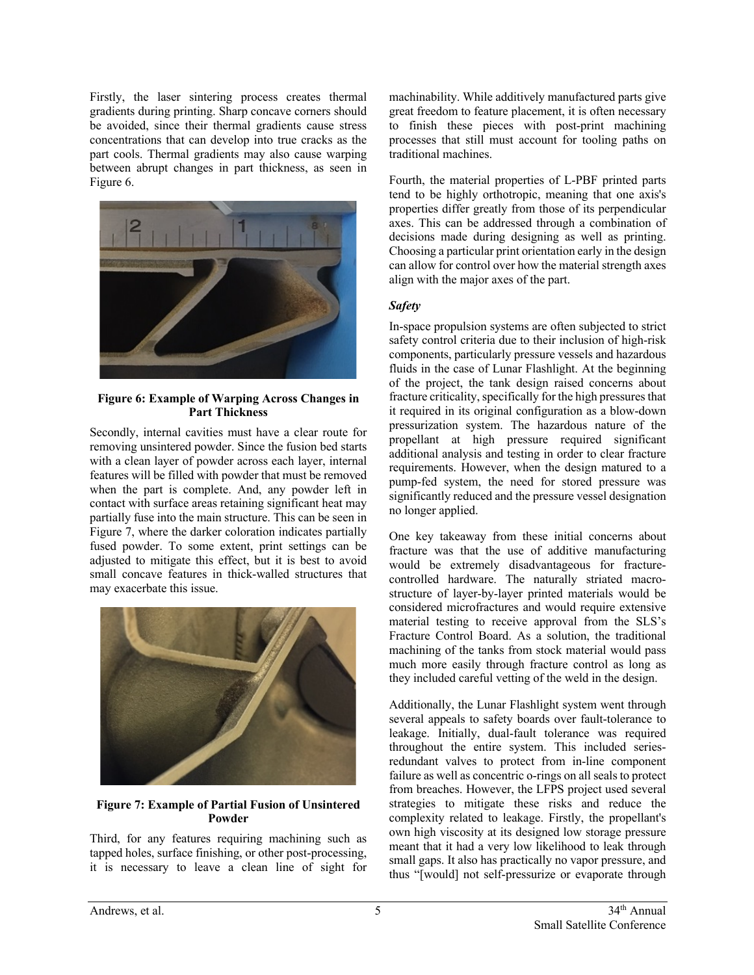Firstly, the laser sintering process creates thermal gradients during printing. Sharp concave corners should be avoided, since their thermal gradients cause stress concentrations that can develop into true cracks as the part cools. Thermal gradients may also cause warping between abrupt changes in part thickness, as seen in Figure 6.



#### **Figure 6: Example of Warping Across Changes in Part Thickness**

Secondly, internal cavities must have a clear route for removing unsintered powder. Since the fusion bed starts with a clean layer of powder across each layer, internal features will be filled with powder that must be removed when the part is complete. And, any powder left in contact with surface areas retaining significant heat may partially fuse into the main structure. This can be seen in Figure 7, where the darker coloration indicates partially fused powder. To some extent, print settings can be adjusted to mitigate this effect, but it is best to avoid small concave features in thick-walled structures that may exacerbate this issue.



#### **Figure 7: Example of Partial Fusion of Unsintered Powder**

Third, for any features requiring machining such as tapped holes, surface finishing, or other post-processing, it is necessary to leave a clean line of sight for machinability. While additively manufactured parts give great freedom to feature placement, it is often necessary to finish these pieces with post-print machining processes that still must account for tooling paths on traditional machines.

Fourth, the material properties of L-PBF printed parts tend to be highly orthotropic, meaning that one axis's properties differ greatly from those of its perpendicular axes. This can be addressed through a combination of decisions made during designing as well as printing. Choosing a particular print orientation early in the design can allow for control over how the material strength axes align with the major axes of the part.

# *Safety*

In-space propulsion systems are often subjected to strict safety control criteria due to their inclusion of high-risk components, particularly pressure vessels and hazardous fluids in the case of Lunar Flashlight. At the beginning of the project, the tank design raised concerns about fracture criticality, specifically for the high pressures that it required in its original configuration as a blow-down pressurization system. The hazardous nature of the propellant at high pressure required significant additional analysis and testing in order to clear fracture requirements. However, when the design matured to a pump-fed system, the need for stored pressure was significantly reduced and the pressure vessel designation no longer applied.

One key takeaway from these initial concerns about fracture was that the use of additive manufacturing would be extremely disadvantageous for fracturecontrolled hardware. The naturally striated macrostructure of layer-by-layer printed materials would be considered microfractures and would require extensive material testing to receive approval from the SLS's Fracture Control Board. As a solution, the traditional machining of the tanks from stock material would pass much more easily through fracture control as long as they included careful vetting of the weld in the design.

Additionally, the Lunar Flashlight system went through several appeals to safety boards over fault-tolerance to leakage. Initially, dual-fault tolerance was required throughout the entire system. This included seriesredundant valves to protect from in-line component failure as well as concentric o-rings on all seals to protect from breaches. However, the LFPS project used several strategies to mitigate these risks and reduce the complexity related to leakage. Firstly, the propellant's own high viscosity at its designed low storage pressure meant that it had a very low likelihood to leak through small gaps. It also has practically no vapor pressure, and thus "[would] not self-pressurize or evaporate through